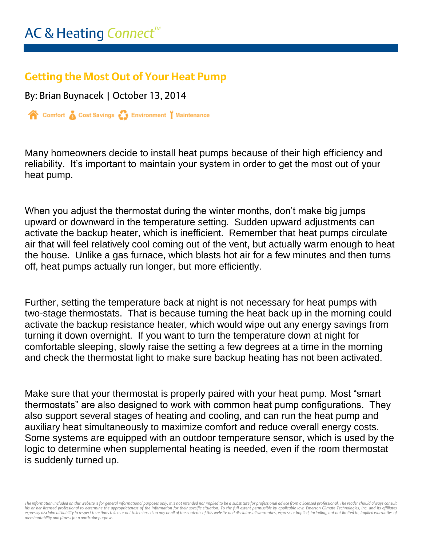## **Getting the Most Out of Your Heat Pump**

By: Brian Buynacek | October 13, 2014

Comfort & Cost Savings & Environment | Maintenance

Many homeowners decide to install heat pumps because of their high efficiency and reliability. It's important to maintain your system in order to get the most out of your heat pump.

When you adjust the thermostat during the winter months, don't make big jumps upward or downward in the temperature setting. Sudden upward adjustments can activate the backup heater, which is inefficient. Remember that heat pumps circulate air that will feel relatively cool coming out of the vent, but actually warm enough to heat the house. Unlike a gas furnace, which blasts hot air for a few minutes and then turns off, heat pumps actually run longer, but more efficiently.

Further, setting the temperature back at night is not necessary for heat pumps with two-stage thermostats. That is because turning the heat back up in the morning could activate the backup resistance heater, which would wipe out any energy savings from turning it down overnight. If you want to turn the temperature down at night for comfortable sleeping, slowly raise the setting a few degrees at a time in the morning and check the thermostat light to make sure backup heating has not been activated.

Make sure that your thermostat is properly paired with your heat pump. Most "smart thermostats" are also designed to work with common heat pump configurations. They also support several stages of heating and cooling, and can run the heat pump and auxiliary heat simultaneously to maximize comfort and reduce overall energy costs. Some systems are equipped with an outdoor temperature sensor, which is used by the logic to determine when supplemental heating is needed, even if the room thermostat is suddenly turned up.

The information included on this website is for general informational purposes only. It is not intended nor implied to be a substitute for professional advice from a licensed professional. The reader should always consult his or her licensed professional to determine the appropriateness of the information for their specific situation. To the full extent permissible by applicable law, Emerson Climate Technologies, Inc. and its affiliates<br>exp *merchantability and fitness for a particular purpose.*